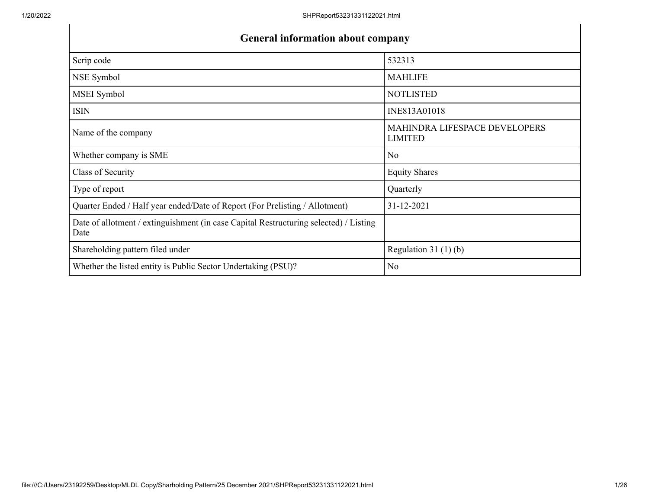| <b>General information about company</b>                                                      |                                                 |  |  |  |  |  |  |  |
|-----------------------------------------------------------------------------------------------|-------------------------------------------------|--|--|--|--|--|--|--|
| Scrip code                                                                                    | 532313                                          |  |  |  |  |  |  |  |
| NSE Symbol                                                                                    | <b>MAHLIFE</b>                                  |  |  |  |  |  |  |  |
| MSEI Symbol                                                                                   | <b>NOTLISTED</b>                                |  |  |  |  |  |  |  |
| <b>ISIN</b>                                                                                   | INE813A01018                                    |  |  |  |  |  |  |  |
| Name of the company                                                                           | MAHINDRA LIFESPACE DEVELOPERS<br><b>LIMITED</b> |  |  |  |  |  |  |  |
| Whether company is SME                                                                        | N <sub>o</sub>                                  |  |  |  |  |  |  |  |
| Class of Security                                                                             | <b>Equity Shares</b>                            |  |  |  |  |  |  |  |
| Type of report                                                                                | Quarterly                                       |  |  |  |  |  |  |  |
| Quarter Ended / Half year ended/Date of Report (For Prelisting / Allotment)                   | 31-12-2021                                      |  |  |  |  |  |  |  |
| Date of allotment / extinguishment (in case Capital Restructuring selected) / Listing<br>Date |                                                 |  |  |  |  |  |  |  |
| Shareholding pattern filed under                                                              | Regulation 31 $(1)(b)$                          |  |  |  |  |  |  |  |
| Whether the listed entity is Public Sector Undertaking (PSU)?                                 | N <sub>o</sub>                                  |  |  |  |  |  |  |  |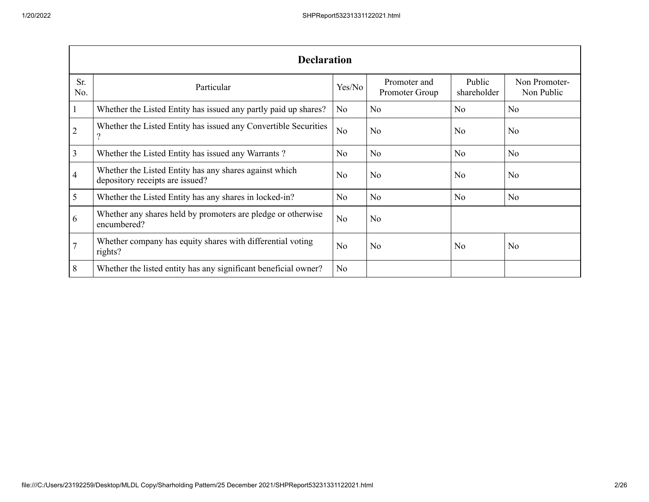|                | <b>Declaration</b>                                                                        |                |                                |                       |                             |  |  |  |  |  |
|----------------|-------------------------------------------------------------------------------------------|----------------|--------------------------------|-----------------------|-----------------------------|--|--|--|--|--|
| Sr.<br>No.     | Particular                                                                                | Yes/No         | Promoter and<br>Promoter Group | Public<br>shareholder | Non Promoter-<br>Non Public |  |  |  |  |  |
|                | Whether the Listed Entity has issued any partly paid up shares?                           | No             | N <sub>o</sub>                 | No                    | N <sub>o</sub>              |  |  |  |  |  |
| $\overline{2}$ | Whether the Listed Entity has issued any Convertible Securities                           | N <sub>o</sub> | N <sub>o</sub>                 | N <sub>o</sub>        | N <sub>0</sub>              |  |  |  |  |  |
| 3              | Whether the Listed Entity has issued any Warrants?                                        | N <sub>o</sub> | N <sub>o</sub>                 | N <sub>o</sub>        | N <sub>o</sub>              |  |  |  |  |  |
| 4              | Whether the Listed Entity has any shares against which<br>depository receipts are issued? | No             | N <sub>o</sub>                 | N <sub>o</sub>        | N <sub>o</sub>              |  |  |  |  |  |
| 5              | Whether the Listed Entity has any shares in locked-in?                                    | N <sub>o</sub> | N <sub>o</sub>                 | N <sub>o</sub>        | N <sub>o</sub>              |  |  |  |  |  |
| 6              | Whether any shares held by promoters are pledge or otherwise<br>encumbered?               | N <sub>o</sub> | N <sub>o</sub>                 |                       |                             |  |  |  |  |  |
|                | Whether company has equity shares with differential voting<br>rights?                     | N <sub>o</sub> | N <sub>o</sub>                 | No                    | N <sub>o</sub>              |  |  |  |  |  |
| 8              | Whether the listed entity has any significant beneficial owner?                           | N <sub>o</sub> |                                |                       |                             |  |  |  |  |  |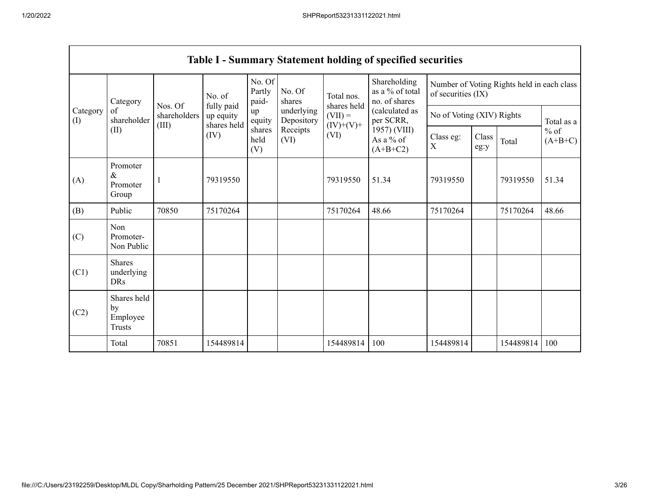|                       |                                                |              |                                        |                           |                          |                                                | <b>Table I - Summary Statement holding of specified securities</b> |                           |               |                                            |                     |  |
|-----------------------|------------------------------------------------|--------------|----------------------------------------|---------------------------|--------------------------|------------------------------------------------|--------------------------------------------------------------------|---------------------------|---------------|--------------------------------------------|---------------------|--|
|                       | Category                                       | Nos. Of      | No. of                                 | No. Of<br>Partly<br>paid- | No. Of<br>shares         | Total nos.                                     | Shareholding<br>as a % of total<br>no. of shares                   | of securities (IX)        |               | Number of Voting Rights held in each class |                     |  |
| Category<br>$($ I $)$ | of<br>shareholder                              | shareholders | fully paid<br>up equity<br>shares held | up<br>equity              | underlying<br>Depository | shares held<br>$(VII) =$                       | (calculated as<br>per SCRR,                                        | No of Voting (XIV) Rights |               |                                            | Total as a          |  |
|                       | (II)                                           | (III)        | (IV)                                   | shares<br>held<br>(V)     | Receipts<br>(VI)         | $(IV)+(V)+$<br>(VI)<br>As a % of<br>$(A+B+C2)$ | 1957) (VIII)                                                       | Class eg:<br>X            | Class<br>eg:y | Total                                      | $%$ of<br>$(A+B+C)$ |  |
| (A)                   | Promoter<br>$\&$<br>Promoter<br>Group          |              | 79319550                               |                           |                          | 79319550                                       | 51.34                                                              | 79319550                  |               | 79319550                                   | 51.34               |  |
| (B)                   | Public                                         | 70850        | 75170264                               |                           |                          | 75170264                                       | 48.66                                                              | 75170264                  |               | 75170264                                   | 48.66               |  |
| (C)                   | Non<br>Promoter-<br>Non Public                 |              |                                        |                           |                          |                                                |                                                                    |                           |               |                                            |                     |  |
| (C1)                  | <b>Shares</b><br>underlying<br><b>DRs</b>      |              |                                        |                           |                          |                                                |                                                                    |                           |               |                                            |                     |  |
| (C2)                  | Shares held<br>by<br>Employee<br><b>Trusts</b> |              |                                        |                           |                          |                                                |                                                                    |                           |               |                                            |                     |  |
|                       | Total                                          | 70851        | 154489814                              |                           |                          | 154489814                                      | 100                                                                | 154489814                 |               | 154489814                                  | 100                 |  |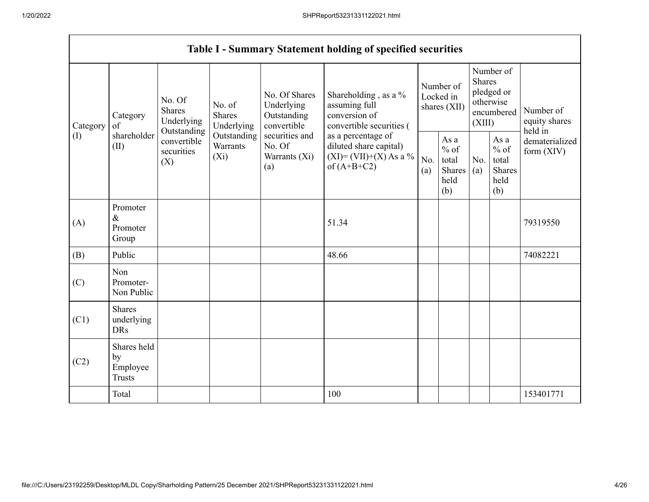$\mathsf{r}$ 

|                            |                                                |                                       |                                    |                                                  | <b>Table I - Summary Statement holding of specified securities</b>                         |             |                                                  |                                |                                                           |                                                                                    |  |                                        |  |                                                                               |                                       |
|----------------------------|------------------------------------------------|---------------------------------------|------------------------------------|--------------------------------------------------|--------------------------------------------------------------------------------------------|-------------|--------------------------------------------------|--------------------------------|-----------------------------------------------------------|------------------------------------------------------------------------------------|--|----------------------------------------|--|-------------------------------------------------------------------------------|---------------------------------------|
| Category<br>of<br>Category |                                                | No. Of<br><b>Shares</b><br>Underlying |                                    |                                                  |                                                                                            | Outstanding |                                                  | No. of<br>Shares<br>Underlying | No. Of Shares<br>Underlying<br>Outstanding<br>convertible | Shareholding, as a %<br>assuming full<br>conversion of<br>convertible securities ( |  | Number of<br>Locked in<br>shares (XII) |  | Number of<br><b>Shares</b><br>pledged or<br>otherwise<br>encumbered<br>(XIII) | Number of<br>equity shares<br>held in |
| (I)                        | shareholder<br>(II)                            | convertible<br>securities<br>(X)      | Outstanding<br>Warrants<br>$(X_i)$ | securities and<br>No. Of<br>Warrants (Xi)<br>(a) | as a percentage of<br>diluted share capital)<br>$(XI) = (VII)+(X) As a %$<br>of $(A+B+C2)$ | No.<br>(a)  | As a<br>$%$ of<br>total<br>Shares<br>held<br>(b) | No.<br>(a)                     | As a<br>$%$ of<br>total<br>Shares<br>held<br>(b)          | dematerialized<br>form $(XIV)$                                                     |  |                                        |  |                                                                               |                                       |
| (A)                        | Promoter<br>$\&$<br>Promoter<br>Group          |                                       |                                    |                                                  | 51.34                                                                                      |             |                                                  |                                |                                                           | 79319550                                                                           |  |                                        |  |                                                                               |                                       |
| (B)                        | Public                                         |                                       |                                    |                                                  | 48.66                                                                                      |             |                                                  |                                |                                                           | 74082221                                                                           |  |                                        |  |                                                                               |                                       |
| (C)                        | Non<br>Promoter-<br>Non Public                 |                                       |                                    |                                                  |                                                                                            |             |                                                  |                                |                                                           |                                                                                    |  |                                        |  |                                                                               |                                       |
| (C1)                       | <b>Shares</b><br>underlying<br><b>DRs</b>      |                                       |                                    |                                                  |                                                                                            |             |                                                  |                                |                                                           |                                                                                    |  |                                        |  |                                                                               |                                       |
| (C2)                       | Shares held<br>by<br>Employee<br><b>Trusts</b> |                                       |                                    |                                                  |                                                                                            |             |                                                  |                                |                                                           |                                                                                    |  |                                        |  |                                                                               |                                       |
|                            | Total                                          |                                       |                                    |                                                  | 100                                                                                        |             |                                                  |                                |                                                           | 153401771                                                                          |  |                                        |  |                                                                               |                                       |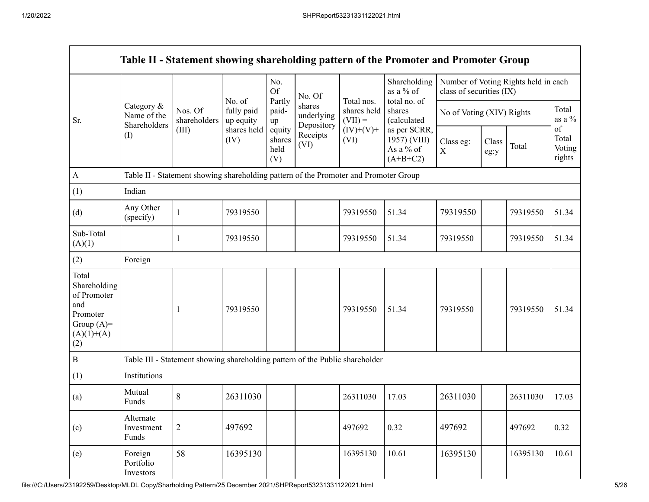$\Gamma$ 

|                                                                                                |                                           |                                                                                      |                                   | No.<br><b>Of</b>                | No. Of                             |                                        | Shareholding<br>as a % of                               | class of securities (IX)  |               | Number of Voting Rights held in each |                                               |
|------------------------------------------------------------------------------------------------|-------------------------------------------|--------------------------------------------------------------------------------------|-----------------------------------|---------------------------------|------------------------------------|----------------------------------------|---------------------------------------------------------|---------------------------|---------------|--------------------------------------|-----------------------------------------------|
| Sr.                                                                                            | Category &<br>Name of the<br>Shareholders | Nos. Of<br>shareholders                                                              | No. of<br>fully paid<br>up equity | Partly<br>paid-<br>up           | shares<br>underlying<br>Depository | Total nos.<br>shares held<br>$(VII) =$ | total no. of<br>shares<br>(calculated                   | No of Voting (XIV) Rights |               |                                      | Total<br>as a $\%$                            |
|                                                                                                | $($ $\Gamma$                              | (III)                                                                                | shares held<br>(IV)               | equity<br>shares<br>held<br>(V) | Receipts<br>(VI)                   | $(IV)+(V)+$<br>(VI)                    | as per SCRR,<br>1957) (VIII)<br>As a % of<br>$(A+B+C2)$ | Class eg:<br>$\mathbf X$  | Class<br>eg:y | Total                                | $_{\mathrm{of}}$<br>Total<br>Voting<br>rights |
| $\mathbf{A}$                                                                                   |                                           | Table II - Statement showing shareholding pattern of the Promoter and Promoter Group |                                   |                                 |                                    |                                        |                                                         |                           |               |                                      |                                               |
| (1)                                                                                            | Indian                                    |                                                                                      |                                   |                                 |                                    |                                        |                                                         |                           |               |                                      |                                               |
| (d)                                                                                            | Any Other<br>(specify)                    |                                                                                      | 79319550                          |                                 |                                    | 79319550                               | 51.34                                                   | 79319550                  |               | 79319550                             | 51.34                                         |
| Sub-Total<br>(A)(1)                                                                            |                                           |                                                                                      | 79319550                          |                                 |                                    | 79319550                               | 51.34                                                   | 79319550                  |               | 79319550                             | 51.34                                         |
| (2)                                                                                            | Foreign                                   |                                                                                      |                                   |                                 |                                    |                                        |                                                         |                           |               |                                      |                                               |
| Total<br>Shareholding<br>of Promoter<br>and<br>Promoter<br>Group $(A)=$<br>$(A)(1)+(A)$<br>(2) |                                           |                                                                                      | 79319550                          |                                 |                                    | 79319550                               | 51.34                                                   | 79319550                  |               | 79319550                             | 51.34                                         |
| $\bf{B}$                                                                                       |                                           | Table III - Statement showing shareholding pattern of the Public shareholder         |                                   |                                 |                                    |                                        |                                                         |                           |               |                                      |                                               |
| (1)                                                                                            | Institutions                              |                                                                                      |                                   |                                 |                                    |                                        |                                                         |                           |               |                                      |                                               |
| (a)                                                                                            | Mutual<br>Funds                           | 8                                                                                    | 26311030                          |                                 |                                    | 26311030                               | 17.03                                                   | 26311030                  |               | 26311030                             | 17.03                                         |
| (c)                                                                                            | Alternate<br>Investment<br>Funds          | $\overline{c}$                                                                       | 497692                            |                                 |                                    | 497692                                 | 0.32                                                    | 497692                    |               | 497692                               | 0.32                                          |
| (e)                                                                                            | Foreign<br>Portfolio<br>Investors         | 58                                                                                   | 16395130                          |                                 |                                    | 16395130                               | 10.61                                                   | 16395130                  |               | 16395130                             | 10.61                                         |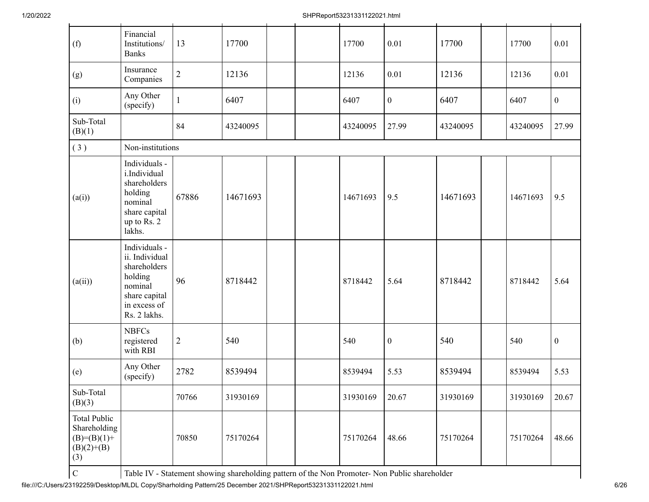| (f)                                                                         | Financial<br>Institutions/<br><b>Banks</b>                                                                             | 13             | 17700    |  | 17700    | 0.01             | 17700    | 17700    | 0.01             |
|-----------------------------------------------------------------------------|------------------------------------------------------------------------------------------------------------------------|----------------|----------|--|----------|------------------|----------|----------|------------------|
| (g)                                                                         | Insurance<br>Companies                                                                                                 | $\overline{c}$ | 12136    |  | 12136    | 0.01             | 12136    | 12136    | 0.01             |
| (i)                                                                         | Any Other<br>(specify)                                                                                                 | $\mathbf{1}$   | 6407     |  | 6407     | $\boldsymbol{0}$ | 6407     | 6407     | $\boldsymbol{0}$ |
| Sub-Total<br>(B)(1)                                                         |                                                                                                                        | 84             | 43240095 |  | 43240095 | 27.99            | 43240095 | 43240095 | 27.99            |
| (3)                                                                         | Non-institutions                                                                                                       |                |          |  |          |                  |          |          |                  |
| (a(i))                                                                      | Individuals -<br>i.Individual<br>shareholders<br>holding<br>nominal<br>share capital<br>up to Rs. 2<br>lakhs.          | 67886          | 14671693 |  | 14671693 | 9.5              | 14671693 | 14671693 | 9.5              |
| (a(ii))                                                                     | Individuals -<br>ii. Individual<br>shareholders<br>holding<br>nominal<br>share capital<br>in excess of<br>Rs. 2 lakhs. | 96             | 8718442  |  | 8718442  | 5.64             | 8718442  | 8718442  | 5.64             |
| (b)                                                                         | <b>NBFCs</b><br>registered<br>with RBI                                                                                 | $\overline{c}$ | 540      |  | 540      | $\boldsymbol{0}$ | 540      | 540      | $\mathbf{0}$     |
| (e)                                                                         | Any Other<br>(specify)                                                                                                 | 2782           | 8539494  |  | 8539494  | 5.53             | 8539494  | 8539494  | 5.53             |
| Sub-Total<br>(B)(3)                                                         |                                                                                                                        | 70766          | 31930169 |  | 31930169 | 20.67            | 31930169 | 31930169 | 20.67            |
| <b>Total Public</b><br>Shareholding<br>$(B)=(B)(1)+$<br>$(B)(2)+(B)$<br>(3) |                                                                                                                        | 70850          | 75170264 |  | 75170264 | 48.66            | 75170264 | 75170264 | 48.66            |
|                                                                             |                                                                                                                        |                |          |  |          |                  |          |          |                  |

C Table IV - Statement showing shareholding pattern of the Non Promoter- Non Public shareholder

file:///C:/Users/23192259/Desktop/MLDL Copy/Sharholding Pattern/25 December 2021/SHPReport53231331122021.html 6/26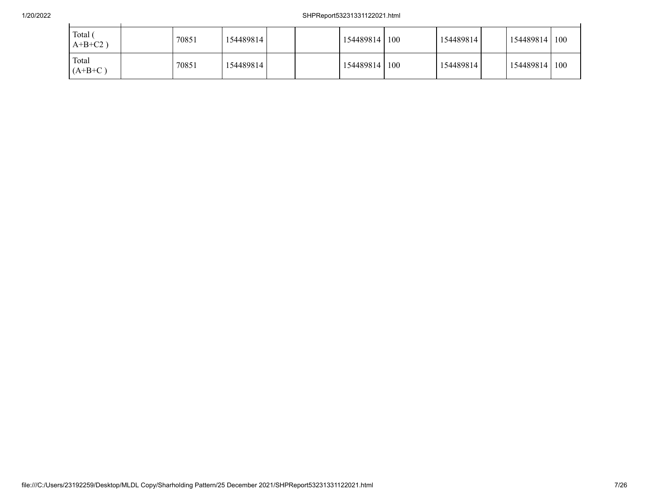## 1/20/2022 SHPReport53231331122021.html

| Total<br>$A+B+C2$ ) | 70851 | 154489814 |  | 154489814 | 100 | 154489814 | 154489814 | 100 |
|---------------------|-------|-----------|--|-----------|-----|-----------|-----------|-----|
| Total<br>$(A+B+C)$  | 70851 | 154489814 |  | 154489814 | 100 | 154489814 | 154489814 | 100 |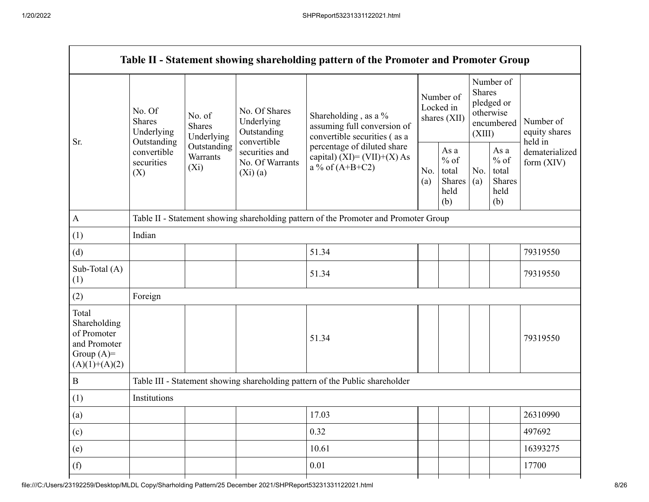|                                                                                         |                                                 |                                       |                                                             | Table II - Statement showing shareholding pattern of the Promoter and Promoter Group |                                        |                                                  |                  |                                                    |                                         |
|-----------------------------------------------------------------------------------------|-------------------------------------------------|---------------------------------------|-------------------------------------------------------------|--------------------------------------------------------------------------------------|----------------------------------------|--------------------------------------------------|------------------|----------------------------------------------------|-----------------------------------------|
|                                                                                         | No. Of<br><b>Shares</b><br>Underlying           | No. of<br><b>Shares</b><br>Underlying | No. Of Shares<br>Underlying<br>Outstanding                  | Shareholding, as a %<br>assuming full conversion of<br>convertible securities (as a  | Number of<br>Locked in<br>shares (XII) |                                                  | Shares<br>(XIII) | Number of<br>pledged or<br>otherwise<br>encumbered | Number of<br>equity shares              |
| Sr.                                                                                     | Outstanding<br>convertible<br>securities<br>(X) | Outstanding<br>Warrants<br>$(X_i)$    | convertible<br>securities and<br>No. Of Warrants<br>(Xi)(a) | percentage of diluted share<br>capital) (XI)= $(VII)+(X)$ As<br>a % of $(A+B+C2)$    |                                        | As a<br>$%$ of<br>total<br>Shares<br>held<br>(b) | No.<br>(a)       | As a<br>$%$ of<br>total<br>Shares<br>held<br>(b)   | held in<br>dematerialized<br>form (XIV) |
| A                                                                                       |                                                 |                                       |                                                             | Table II - Statement showing shareholding pattern of the Promoter and Promoter Group |                                        |                                                  |                  |                                                    |                                         |
| (1)                                                                                     | Indian                                          |                                       |                                                             |                                                                                      |                                        |                                                  |                  |                                                    |                                         |
| (d)                                                                                     |                                                 |                                       |                                                             | 51.34                                                                                |                                        |                                                  |                  |                                                    | 79319550                                |
| Sub-Total (A)<br>(1)                                                                    |                                                 |                                       |                                                             | 51.34                                                                                |                                        |                                                  |                  |                                                    | 79319550                                |
| (2)                                                                                     | Foreign                                         |                                       |                                                             |                                                                                      |                                        |                                                  |                  |                                                    |                                         |
| Total<br>Shareholding<br>of Promoter<br>and Promoter<br>Group $(A)=$<br>$(A)(1)+(A)(2)$ |                                                 |                                       |                                                             | 51.34                                                                                |                                        |                                                  |                  |                                                    | 79319550                                |
| B                                                                                       |                                                 |                                       |                                                             | Table III - Statement showing shareholding pattern of the Public shareholder         |                                        |                                                  |                  |                                                    |                                         |
| (1)                                                                                     | Institutions                                    |                                       |                                                             |                                                                                      |                                        |                                                  |                  |                                                    |                                         |
| (a)                                                                                     |                                                 |                                       |                                                             | 17.03                                                                                |                                        |                                                  |                  |                                                    | 26310990                                |
| (c)                                                                                     |                                                 |                                       |                                                             | 0.32                                                                                 |                                        |                                                  |                  |                                                    | 497692                                  |
| (e)                                                                                     |                                                 |                                       |                                                             | 10.61                                                                                |                                        |                                                  |                  |                                                    | 16393275                                |
| (f)                                                                                     |                                                 |                                       |                                                             | 0.01                                                                                 |                                        |                                                  |                  |                                                    | 17700                                   |
|                                                                                         |                                                 |                                       |                                                             |                                                                                      |                                        |                                                  |                  |                                                    |                                         |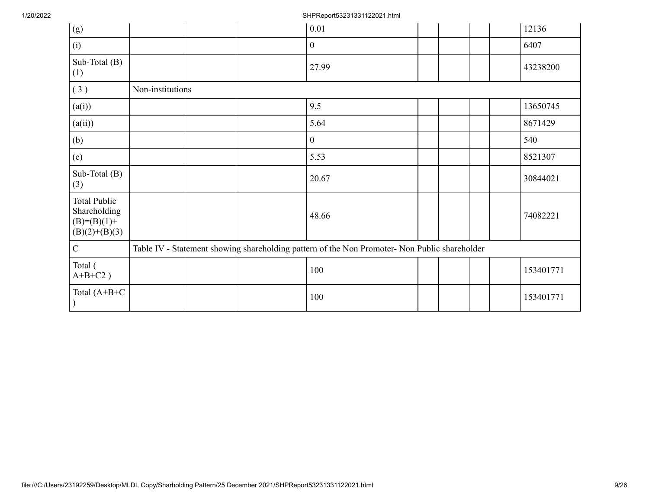1/20/2022 SHPReport53231331122021.html

| (g)                                                                     |                  |  | 0.01                                                                                          |  |  | 12136     |
|-------------------------------------------------------------------------|------------------|--|-----------------------------------------------------------------------------------------------|--|--|-----------|
| (i)                                                                     |                  |  | $\boldsymbol{0}$                                                                              |  |  | 6407      |
| Sub-Total (B)<br>(1)                                                    |                  |  | 27.99                                                                                         |  |  | 43238200  |
| (3)                                                                     | Non-institutions |  |                                                                                               |  |  |           |
| (a(i))                                                                  |                  |  | 9.5                                                                                           |  |  | 13650745  |
| (a(ii))                                                                 |                  |  | 5.64                                                                                          |  |  | 8671429   |
| (b)                                                                     |                  |  | $\mathbf{0}$                                                                                  |  |  | 540       |
| (e)                                                                     |                  |  | 5.53                                                                                          |  |  | 8521307   |
| Sub-Total (B)<br>(3)                                                    |                  |  | 20.67                                                                                         |  |  | 30844021  |
| <b>Total Public</b><br>Shareholding<br>$(B)=(B)(1)+$<br>$(B)(2)+(B)(3)$ |                  |  | 48.66                                                                                         |  |  | 74082221  |
| $\mathbf C$                                                             |                  |  | Table IV - Statement showing shareholding pattern of the Non Promoter- Non Public shareholder |  |  |           |
| Total (<br>$A+B+C2$ )                                                   |                  |  | 100                                                                                           |  |  | 153401771 |
| Total $(A+B+C)$<br>$\mathcal{E}$                                        |                  |  | 100                                                                                           |  |  | 153401771 |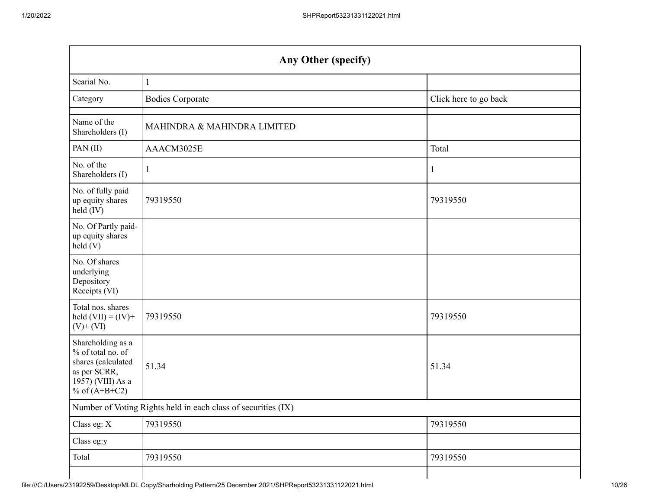|                                                                                                                      | Any Other (specify)                                           |                       |  |  |  |  |  |  |  |  |
|----------------------------------------------------------------------------------------------------------------------|---------------------------------------------------------------|-----------------------|--|--|--|--|--|--|--|--|
| Searial No.                                                                                                          | $\mathbf{1}$                                                  |                       |  |  |  |  |  |  |  |  |
| Category                                                                                                             | <b>Bodies Corporate</b>                                       | Click here to go back |  |  |  |  |  |  |  |  |
| Name of the<br>Shareholders (I)                                                                                      | MAHINDRA & MAHINDRA LIMITED                                   |                       |  |  |  |  |  |  |  |  |
| PAN(II)                                                                                                              | AAACM3025E                                                    | Total                 |  |  |  |  |  |  |  |  |
| No. of the<br>Shareholders (I)                                                                                       | $\mathbf{1}$                                                  | 1                     |  |  |  |  |  |  |  |  |
| No. of fully paid<br>up equity shares<br>held (IV)                                                                   | 79319550                                                      | 79319550              |  |  |  |  |  |  |  |  |
| No. Of Partly paid-<br>up equity shares<br>held (V)                                                                  |                                                               |                       |  |  |  |  |  |  |  |  |
| No. Of shares<br>underlying<br>Depository<br>Receipts (VI)                                                           |                                                               |                       |  |  |  |  |  |  |  |  |
| Total nos. shares<br>held $(VII) = (IV) +$<br>$(V)$ + $(VI)$                                                         | 79319550                                                      | 79319550              |  |  |  |  |  |  |  |  |
| Shareholding as a<br>% of total no. of<br>shares (calculated<br>as per SCRR,<br>1957) (VIII) As a<br>% of $(A+B+C2)$ | 51.34                                                         | 51.34                 |  |  |  |  |  |  |  |  |
|                                                                                                                      | Number of Voting Rights held in each class of securities (IX) |                       |  |  |  |  |  |  |  |  |
| Class eg: X                                                                                                          | 79319550                                                      | 79319550              |  |  |  |  |  |  |  |  |
| Class eg:y                                                                                                           |                                                               |                       |  |  |  |  |  |  |  |  |
| Total                                                                                                                | 79319550                                                      | 79319550              |  |  |  |  |  |  |  |  |
|                                                                                                                      |                                                               |                       |  |  |  |  |  |  |  |  |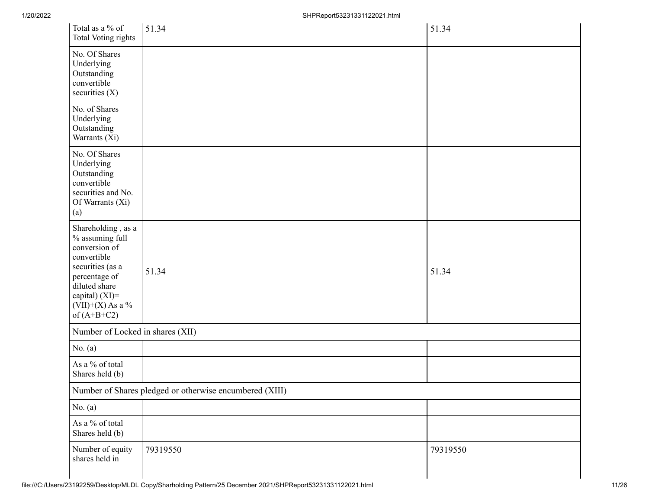| Total as a % of<br>Total Voting rights                                                                                                                                             | 51.34                                                   | 51.34    |
|------------------------------------------------------------------------------------------------------------------------------------------------------------------------------------|---------------------------------------------------------|----------|
| No. Of Shares<br>Underlying<br>Outstanding<br>convertible<br>securities $(X)$                                                                                                      |                                                         |          |
| No. of Shares<br>Underlying<br>Outstanding<br>Warrants (Xi)                                                                                                                        |                                                         |          |
| No. Of Shares<br>Underlying<br>Outstanding<br>convertible<br>securities and No.<br>Of Warrants (Xi)<br>(a)                                                                         |                                                         |          |
| Shareholding, as a<br>% assuming full<br>conversion of<br>convertible<br>securities (as a<br>percentage of<br>diluted share<br>capital) (XI)=<br>(VII)+(X) As a %<br>of $(A+B+C2)$ | 51.34                                                   | 51.34    |
| Number of Locked in shares (XII)                                                                                                                                                   |                                                         |          |
| No. $(a)$                                                                                                                                                                          |                                                         |          |
| As a % of total<br>Shares held (b)                                                                                                                                                 |                                                         |          |
|                                                                                                                                                                                    | Number of Shares pledged or otherwise encumbered (XIII) |          |
| No. $(a)$                                                                                                                                                                          |                                                         |          |
| As a % of total<br>Shares held (b)                                                                                                                                                 |                                                         |          |
| Number of equity<br>shares held in                                                                                                                                                 | 79319550                                                | 79319550 |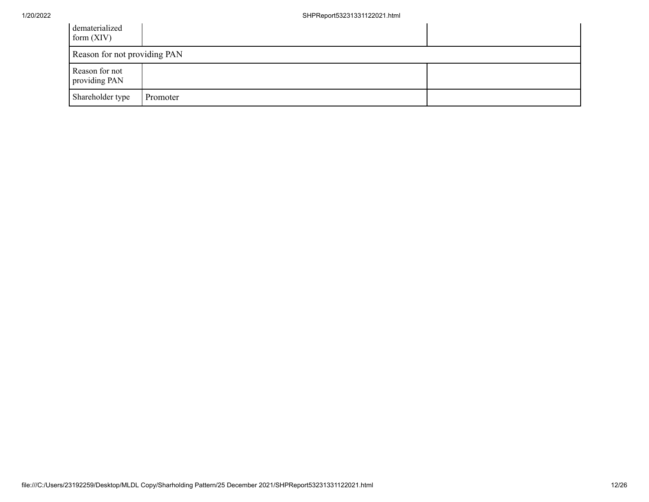| dematerialized<br>form $(XIV)$  |          |  |
|---------------------------------|----------|--|
| Reason for not providing PAN    |          |  |
| Reason for not<br>providing PAN |          |  |
| Shareholder type                | Promoter |  |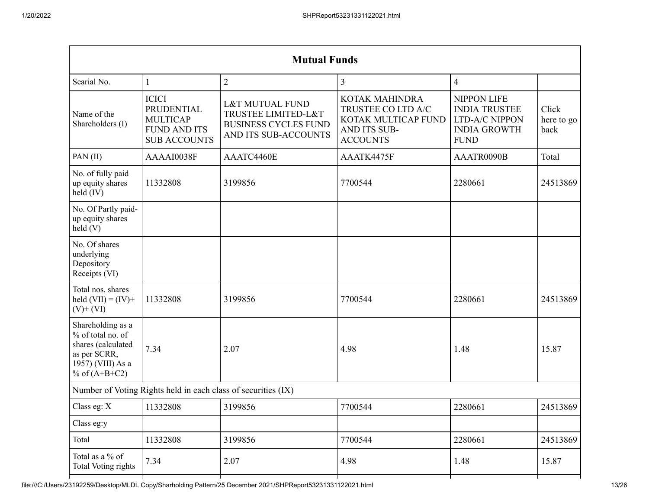| <b>Mutual Funds</b>                                                                                                          |                                                                                                                                                                                                         |                |                                                                                                |                                                                                                    |                             |
|------------------------------------------------------------------------------------------------------------------------------|---------------------------------------------------------------------------------------------------------------------------------------------------------------------------------------------------------|----------------|------------------------------------------------------------------------------------------------|----------------------------------------------------------------------------------------------------|-----------------------------|
| Searial No.                                                                                                                  | $\mathbf{1}$                                                                                                                                                                                            | $\overline{2}$ | 3                                                                                              | $\overline{4}$                                                                                     |                             |
| Name of the<br>Shareholders (I)                                                                                              | <b>ICICI</b><br><b>L&amp;T MUTUAL FUND</b><br>PRUDENTIAL<br>TRUSTEE LIMITED-L&T<br><b>MULTICAP</b><br><b>BUSINESS CYCLES FUND</b><br><b>FUND AND ITS</b><br>AND ITS SUB-ACCOUNTS<br><b>SUB ACCOUNTS</b> |                | KOTAK MAHINDRA<br>TRUSTEE CO LTD A/C<br>KOTAK MULTICAP FUND<br>AND ITS SUB-<br><b>ACCOUNTS</b> | <b>NIPPON LIFE</b><br><b>INDIA TRUSTEE</b><br>LTD-A/C NIPPON<br><b>INDIA GROWTH</b><br><b>FUND</b> | Click<br>here to go<br>back |
| PAN(II)                                                                                                                      | AAAAI0038F                                                                                                                                                                                              | AAATC4460E     | AAATK4475F                                                                                     | AAATR0090B                                                                                         | Total                       |
| No. of fully paid<br>up equity shares<br>held $(IV)$                                                                         | 11332808<br>3199856                                                                                                                                                                                     |                | 7700544                                                                                        | 2280661                                                                                            | 24513869                    |
| No. Of Partly paid-<br>up equity shares<br>held(V)                                                                           |                                                                                                                                                                                                         |                |                                                                                                |                                                                                                    |                             |
| No. Of shares<br>underlying<br>Depository<br>Receipts (VI)                                                                   |                                                                                                                                                                                                         |                |                                                                                                |                                                                                                    |                             |
| Total nos. shares<br>held $(VII) = (IV) +$<br>11332808<br>3199856<br>$(V)$ + $(VI)$                                          |                                                                                                                                                                                                         |                | 7700544                                                                                        | 2280661                                                                                            | 24513869                    |
| Shareholding as a<br>% of total no. of<br>shares (calculated<br>7.34<br>as per SCRR,<br>1957) (VIII) As a<br>% of $(A+B+C2)$ |                                                                                                                                                                                                         | 2.07           | 4.98                                                                                           | 1.48                                                                                               | 15.87                       |
| Number of Voting Rights held in each class of securities (IX)                                                                |                                                                                                                                                                                                         |                |                                                                                                |                                                                                                    |                             |
| Class eg: X                                                                                                                  | 11332808                                                                                                                                                                                                | 3199856        | 7700544                                                                                        | 2280661                                                                                            | 24513869                    |
| Class eg:y                                                                                                                   |                                                                                                                                                                                                         |                |                                                                                                |                                                                                                    |                             |
| Total                                                                                                                        | 11332808                                                                                                                                                                                                | 3199856        | 7700544                                                                                        | 2280661                                                                                            | 24513869                    |
| Total as a $\%$ of<br>Total Voting rights                                                                                    | 7.34                                                                                                                                                                                                    | 2.07           | 4.98                                                                                           | 1.48                                                                                               | 15.87                       |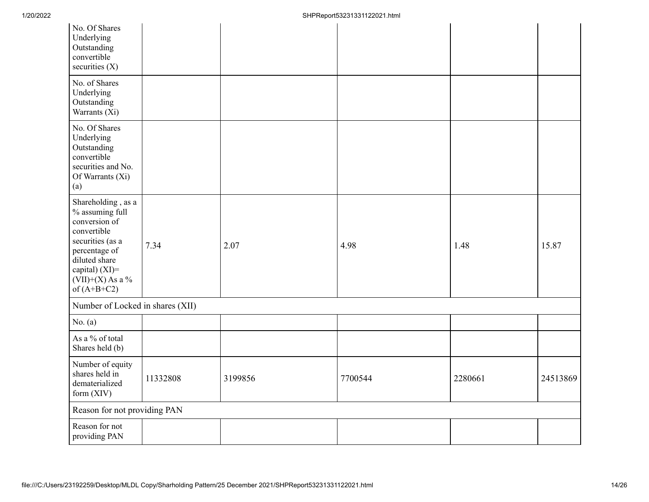| No. Of Shares<br>Underlying<br>Outstanding<br>convertible<br>securities $(X)$                                                                                                        |          |         |         |         |          |
|--------------------------------------------------------------------------------------------------------------------------------------------------------------------------------------|----------|---------|---------|---------|----------|
| No. of Shares<br>Underlying<br>Outstanding<br>Warrants (Xi)                                                                                                                          |          |         |         |         |          |
| No. Of Shares<br>Underlying<br>Outstanding<br>convertible<br>securities and No.<br>Of Warrants (Xi)<br>(a)                                                                           |          |         |         |         |          |
| Shareholding, as a<br>% assuming full<br>conversion of<br>convertible<br>securities (as a<br>percentage of<br>diluted share<br>capital) (XI)=<br>$(VII)+(X)$ As a %<br>of $(A+B+C2)$ | 7.34     | 2.07    | 4.98    | 1.48    | 15.87    |
| Number of Locked in shares (XII)                                                                                                                                                     |          |         |         |         |          |
| No. $(a)$                                                                                                                                                                            |          |         |         |         |          |
| As a % of total<br>Shares held (b)                                                                                                                                                   |          |         |         |         |          |
| Number of equity<br>shares held in<br>dematerialized<br>form (XIV)                                                                                                                   | 11332808 | 3199856 | 7700544 | 2280661 | 24513869 |
| Reason for not providing PAN                                                                                                                                                         |          |         |         |         |          |
| Reason for not<br>providing PAN                                                                                                                                                      |          |         |         |         |          |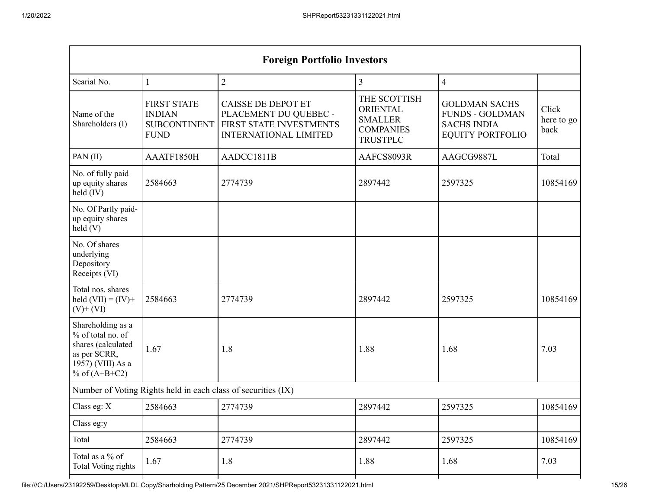| <b>Foreign Portfolio Investors</b>                                                                                           |                                                                                                                                                                                            |                                                               |                                                                                          |                                                                                                 |                             |
|------------------------------------------------------------------------------------------------------------------------------|--------------------------------------------------------------------------------------------------------------------------------------------------------------------------------------------|---------------------------------------------------------------|------------------------------------------------------------------------------------------|-------------------------------------------------------------------------------------------------|-----------------------------|
| Searial No.                                                                                                                  | $\mathbf{1}$                                                                                                                                                                               | $\overline{2}$                                                | 3                                                                                        | $\overline{4}$                                                                                  |                             |
| Name of the<br>Shareholders (I)                                                                                              | <b>FIRST STATE</b><br><b>CAISSE DE DEPOT ET</b><br><b>INDIAN</b><br>PLACEMENT DU QUEBEC -<br>FIRST STATE INVESTMENTS<br><b>SUBCONTINENT</b><br><b>INTERNATIONAL LIMITED</b><br><b>FUND</b> |                                                               | THE SCOTTISH<br><b>ORIENTAL</b><br><b>SMALLER</b><br><b>COMPANIES</b><br><b>TRUSTPLC</b> | <b>GOLDMAN SACHS</b><br><b>FUNDS - GOLDMAN</b><br><b>SACHS INDIA</b><br><b>EQUITY PORTFOLIO</b> | Click<br>here to go<br>back |
| PAN(II)                                                                                                                      | AAATF1850H                                                                                                                                                                                 | AADCC1811B                                                    | AAFCS8093R                                                                               | AAGCG9887L                                                                                      | Total                       |
| No. of fully paid<br>up equity shares<br>held $(IV)$                                                                         | 2584663<br>2897442<br>2774739                                                                                                                                                              |                                                               | 2597325                                                                                  | 10854169                                                                                        |                             |
| No. Of Partly paid-<br>up equity shares<br>held(V)                                                                           |                                                                                                                                                                                            |                                                               |                                                                                          |                                                                                                 |                             |
| No. Of shares<br>underlying<br>Depository<br>Receipts (VI)                                                                   |                                                                                                                                                                                            |                                                               |                                                                                          |                                                                                                 |                             |
| Total nos. shares<br>held $(VII) = (IV) +$<br>2774739<br>2584663<br>$(V)$ + $(VI)$                                           |                                                                                                                                                                                            |                                                               | 2897442                                                                                  | 2597325                                                                                         | 10854169                    |
| Shareholding as a<br>% of total no. of<br>shares (calculated<br>1.67<br>as per SCRR,<br>1957) (VIII) As a<br>% of $(A+B+C2)$ |                                                                                                                                                                                            | 1.8<br>1.88                                                   |                                                                                          | 1.68                                                                                            | 7.03                        |
|                                                                                                                              |                                                                                                                                                                                            | Number of Voting Rights held in each class of securities (IX) |                                                                                          |                                                                                                 |                             |
| Class eg: X                                                                                                                  | 2584663                                                                                                                                                                                    | 2774739                                                       | 2897442                                                                                  | 2597325                                                                                         | 10854169                    |
| Class eg:y                                                                                                                   |                                                                                                                                                                                            |                                                               |                                                                                          |                                                                                                 |                             |
| Total                                                                                                                        | 2584663                                                                                                                                                                                    | 2774739                                                       | 2897442                                                                                  | 2597325                                                                                         | 10854169                    |
| Total as a % of<br>Total Voting rights                                                                                       | 1.67                                                                                                                                                                                       | 1.8                                                           | 1.88                                                                                     | 1.68                                                                                            | 7.03                        |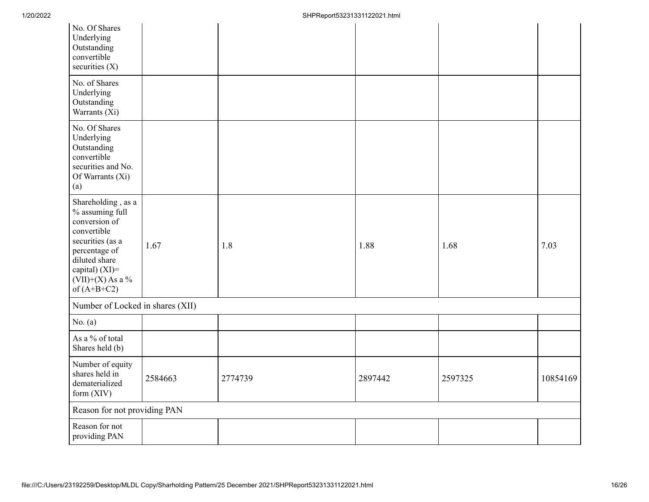| No. Of Shares<br>Underlying<br>Outstanding<br>convertible<br>securities $(X)$                                                                                                        |         |         |         |         |          |
|--------------------------------------------------------------------------------------------------------------------------------------------------------------------------------------|---------|---------|---------|---------|----------|
| No. of Shares<br>Underlying<br>Outstanding<br>Warrants (Xi)                                                                                                                          |         |         |         |         |          |
| No. Of Shares<br>Underlying<br>Outstanding<br>convertible<br>securities and No.<br>Of Warrants (Xi)<br>(a)                                                                           |         |         |         |         |          |
| Shareholding, as a<br>% assuming full<br>conversion of<br>convertible<br>securities (as a<br>percentage of<br>diluted share<br>capital) (XI)=<br>$(VII)+(X)$ As a %<br>of $(A+B+C2)$ | 1.67    | 1.8     | 1.88    | 1.68    | 7.03     |
| Number of Locked in shares (XII)                                                                                                                                                     |         |         |         |         |          |
| No. $(a)$                                                                                                                                                                            |         |         |         |         |          |
| As a % of total<br>Shares held (b)                                                                                                                                                   |         |         |         |         |          |
| Number of equity<br>shares held in<br>dematerialized<br>form $(XIV)$                                                                                                                 | 2584663 | 2774739 | 2897442 | 2597325 | 10854169 |
| Reason for not providing PAN                                                                                                                                                         |         |         |         |         |          |
| Reason for not<br>providing PAN                                                                                                                                                      |         |         |         |         |          |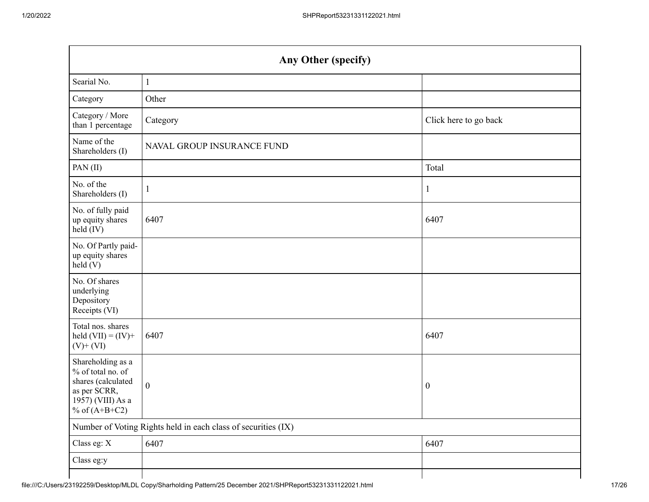| Any Other (specify)                                                                                                  |                                                               |                       |  |  |
|----------------------------------------------------------------------------------------------------------------------|---------------------------------------------------------------|-----------------------|--|--|
| Searial No.                                                                                                          | $\mathbf{1}$                                                  |                       |  |  |
| Category                                                                                                             | Other                                                         |                       |  |  |
| Category / More<br>than 1 percentage                                                                                 | Category                                                      | Click here to go back |  |  |
| Name of the<br>Shareholders (I)                                                                                      | NAVAL GROUP INSURANCE FUND                                    |                       |  |  |
| PAN(II)                                                                                                              |                                                               | Total                 |  |  |
| No. of the<br>Shareholders (I)                                                                                       | $\mathbf{1}$                                                  | 1                     |  |  |
| No. of fully paid<br>up equity shares<br>held (IV)                                                                   | 6407                                                          | 6407                  |  |  |
| No. Of Partly paid-<br>up equity shares<br>held(V)                                                                   |                                                               |                       |  |  |
| No. Of shares<br>underlying<br>Depository<br>Receipts (VI)                                                           |                                                               |                       |  |  |
| Total nos. shares<br>held $(VII) = (IV) +$<br>$(V)$ + $(VI)$                                                         | 6407                                                          | 6407                  |  |  |
| Shareholding as a<br>% of total no. of<br>shares (calculated<br>as per SCRR,<br>1957) (VIII) As a<br>% of $(A+B+C2)$ | $\boldsymbol{0}$                                              | $\boldsymbol{0}$      |  |  |
|                                                                                                                      | Number of Voting Rights held in each class of securities (IX) |                       |  |  |
| Class eg: X                                                                                                          | 6407                                                          | 6407                  |  |  |
| Class eg:y                                                                                                           |                                                               |                       |  |  |
|                                                                                                                      |                                                               |                       |  |  |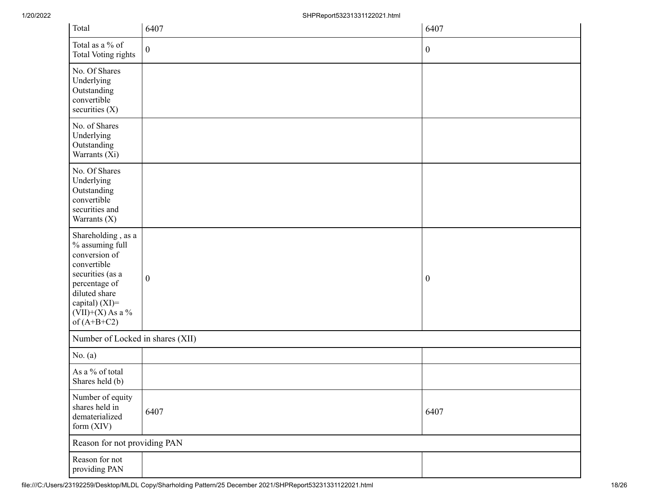| Total                                                                                                                                                                                   | 6407             | 6407             |
|-----------------------------------------------------------------------------------------------------------------------------------------------------------------------------------------|------------------|------------------|
| Total as a % of<br>Total Voting rights                                                                                                                                                  | $\boldsymbol{0}$ | $\boldsymbol{0}$ |
| No. Of Shares<br>Underlying<br>Outstanding<br>convertible<br>securities (X)                                                                                                             |                  |                  |
| No. of Shares<br>Underlying<br>Outstanding<br>Warrants (Xi)                                                                                                                             |                  |                  |
| No. Of Shares<br>Underlying<br>Outstanding<br>convertible<br>securities and<br>Warrants (X)                                                                                             |                  |                  |
| Shareholding, as a<br>$\%$ assuming full<br>conversion of<br>convertible<br>securities (as a<br>percentage of<br>diluted share<br>capital) (XI)=<br>$(VII)+(X)$ As a %<br>of $(A+B+C2)$ | $\boldsymbol{0}$ | $\boldsymbol{0}$ |
| Number of Locked in shares (XII)                                                                                                                                                        |                  |                  |
| No. $(a)$                                                                                                                                                                               |                  |                  |
| As a % of total<br>Shares held (b)                                                                                                                                                      |                  |                  |
| Number of equity<br>shares held in<br>dematerialized<br>form (XIV)                                                                                                                      | 6407             | 6407             |
| Reason for not providing PAN                                                                                                                                                            |                  |                  |
| Reason for not<br>providing PAN                                                                                                                                                         |                  |                  |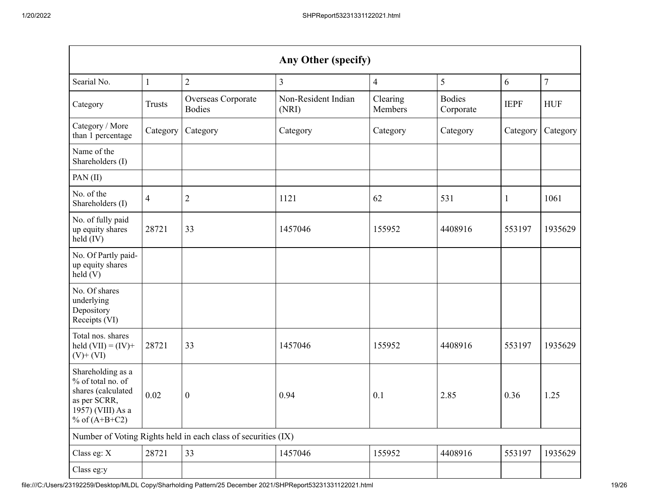| Any Other (specify)                                                                                                  |                |                                                               |                              |                          |                            |              |            |
|----------------------------------------------------------------------------------------------------------------------|----------------|---------------------------------------------------------------|------------------------------|--------------------------|----------------------------|--------------|------------|
| Searial No.                                                                                                          | 1              | $\overline{2}$                                                | $\mathfrak{Z}$               | $\overline{\mathcal{A}}$ | 5                          | 6            | $\tau$     |
| Category                                                                                                             | <b>Trusts</b>  | Overseas Corporate<br><b>Bodies</b>                           | Non-Resident Indian<br>(NRI) | Clearing<br>Members      | <b>Bodies</b><br>Corporate | <b>IEPF</b>  | <b>HUF</b> |
| Category / More<br>than 1 percentage                                                                                 | Category       | Category                                                      | Category                     | Category                 | Category                   | Category     | Category   |
| Name of the<br>Shareholders (I)                                                                                      |                |                                                               |                              |                          |                            |              |            |
| PAN (II)                                                                                                             |                |                                                               |                              |                          |                            |              |            |
| No. of the<br>Shareholders (I)                                                                                       | $\overline{4}$ | $\mathbf{2}$                                                  | 1121                         | 62                       | 531                        | $\mathbf{1}$ | 1061       |
| No. of fully paid<br>up equity shares<br>held (IV)                                                                   | 28721          | 33                                                            | 1457046                      | 155952                   | 4408916                    | 553197       | 1935629    |
| No. Of Partly paid-<br>up equity shares<br>held (V)                                                                  |                |                                                               |                              |                          |                            |              |            |
| No. Of shares<br>underlying<br>Depository<br>Receipts (VI)                                                           |                |                                                               |                              |                          |                            |              |            |
| Total nos. shares<br>held $(VII) = (IV) +$<br>$(V)$ + $(VI)$                                                         | 28721          | 33                                                            | 1457046                      | 155952                   | 4408916                    | 553197       | 1935629    |
| Shareholding as a<br>% of total no. of<br>shares (calculated<br>as per SCRR,<br>1957) (VIII) As a<br>% of $(A+B+C2)$ | 0.02           | $\boldsymbol{0}$                                              | 0.94                         | 0.1                      | 2.85                       | 0.36         | 1.25       |
|                                                                                                                      |                | Number of Voting Rights held in each class of securities (IX) |                              |                          |                            |              |            |
| Class eg: X                                                                                                          | 28721          | 33                                                            | 1457046                      | 155952                   | 4408916                    | 553197       | 1935629    |
| Class eg:y                                                                                                           |                |                                                               |                              |                          |                            |              |            |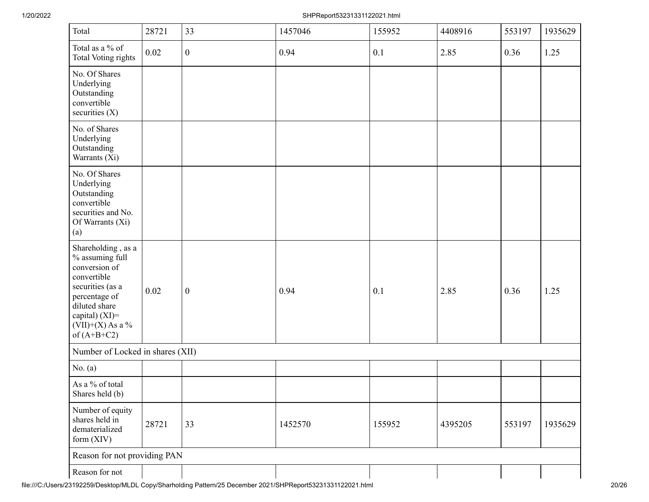## 1/20/2022 SHPReport53231331122021.html

| Total                                                                                                                                                                                | 28721                            | 33               | 1457046 | 155952 | 4408916 | 553197 | 1935629 |
|--------------------------------------------------------------------------------------------------------------------------------------------------------------------------------------|----------------------------------|------------------|---------|--------|---------|--------|---------|
| Total as a % of<br>Total Voting rights                                                                                                                                               | 0.02                             | $\boldsymbol{0}$ | 0.94    | 0.1    | 2.85    | 0.36   | 1.25    |
| No. Of Shares<br>Underlying<br>Outstanding<br>convertible<br>securities (X)                                                                                                          |                                  |                  |         |        |         |        |         |
| No. of Shares<br>Underlying<br>Outstanding<br>Warrants (Xi)                                                                                                                          |                                  |                  |         |        |         |        |         |
| No. Of Shares<br>Underlying<br>Outstanding<br>convertible<br>securities and No.<br>Of Warrants (Xi)<br>(a)                                                                           |                                  |                  |         |        |         |        |         |
| Shareholding, as a<br>% assuming full<br>conversion of<br>convertible<br>securities (as a<br>percentage of<br>diluted share<br>capital) (XI)=<br>$(VII)+(X)$ As a %<br>of $(A+B+C2)$ | 0.02                             | $\boldsymbol{0}$ | 0.94    | 0.1    | 2.85    | 0.36   | 1.25    |
|                                                                                                                                                                                      | Number of Locked in shares (XII) |                  |         |        |         |        |         |
| No. $(a)$                                                                                                                                                                            |                                  |                  |         |        |         |        |         |
| As a % of total<br>Shares held (b)                                                                                                                                                   |                                  |                  |         |        |         |        |         |
| Number of equity<br>shares held in<br>dematerialized<br>form (XIV)                                                                                                                   | 28721                            | 33               | 1452570 | 155952 | 4395205 | 553197 | 1935629 |
| Reason for not providing PAN                                                                                                                                                         |                                  |                  |         |        |         |        |         |
| Reason for not                                                                                                                                                                       |                                  |                  |         |        |         |        |         |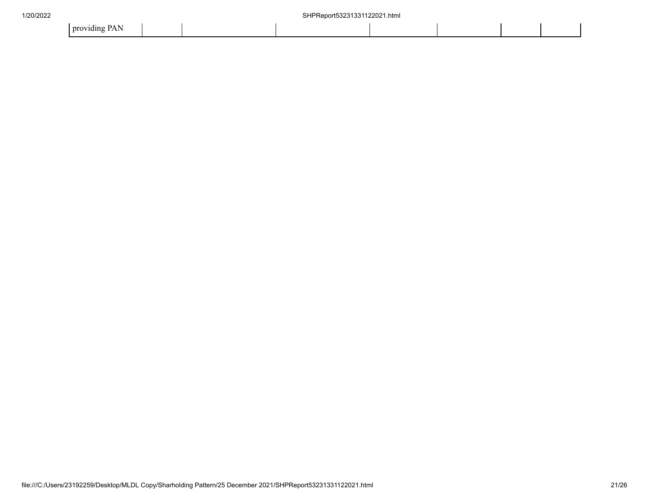| .<br>$\sim$<br>- providing |  |
|----------------------------|--|
|----------------------------|--|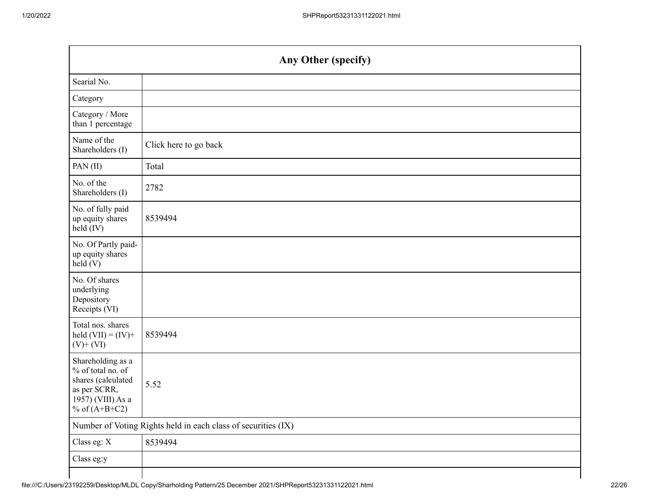|                                                                                                                      | Any Other (specify)                                           |  |  |  |  |
|----------------------------------------------------------------------------------------------------------------------|---------------------------------------------------------------|--|--|--|--|
| Searial No.                                                                                                          |                                                               |  |  |  |  |
| Category                                                                                                             |                                                               |  |  |  |  |
| Category / More<br>than 1 percentage                                                                                 |                                                               |  |  |  |  |
| Name of the<br>Shareholders (I)                                                                                      | Click here to go back                                         |  |  |  |  |
| PAN(II)                                                                                                              | Total                                                         |  |  |  |  |
| No. of the<br>Shareholders (I)                                                                                       | 2782                                                          |  |  |  |  |
| No. of fully paid<br>up equity shares<br>held (IV)                                                                   | 8539494                                                       |  |  |  |  |
| No. Of Partly paid-<br>up equity shares<br>held (V)                                                                  |                                                               |  |  |  |  |
| No. Of shares<br>underlying<br>Depository<br>Receipts (VI)                                                           |                                                               |  |  |  |  |
| Total nos. shares<br>held $(VII) = (IV) +$<br>$(V)$ + $(VI)$                                                         | 8539494                                                       |  |  |  |  |
| Shareholding as a<br>% of total no. of<br>shares (calculated<br>as per SCRR,<br>1957) (VIII) As a<br>% of $(A+B+C2)$ | 5.52                                                          |  |  |  |  |
|                                                                                                                      | Number of Voting Rights held in each class of securities (IX) |  |  |  |  |
| Class eg: X                                                                                                          | 8539494                                                       |  |  |  |  |
| Class eg:y                                                                                                           |                                                               |  |  |  |  |
|                                                                                                                      |                                                               |  |  |  |  |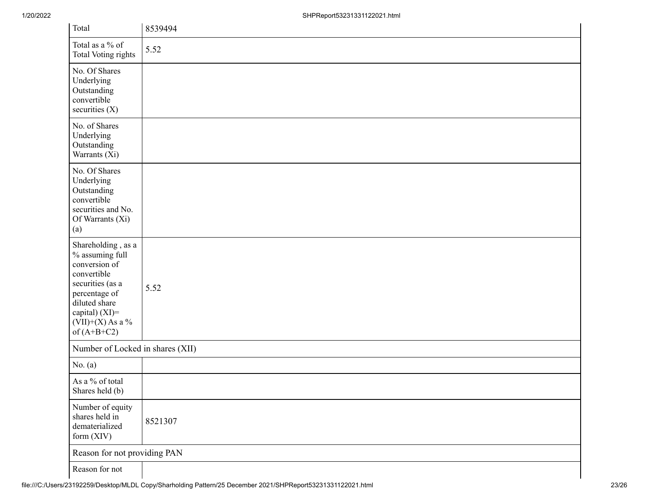| Total                                                                                                                                                                                   | 8539494 |
|-----------------------------------------------------------------------------------------------------------------------------------------------------------------------------------------|---------|
| Total as a % of<br>Total Voting rights                                                                                                                                                  | 5.52    |
| No. Of Shares<br>Underlying<br>Outstanding<br>convertible<br>securities (X)                                                                                                             |         |
| No. of Shares<br>Underlying<br>Outstanding<br>Warrants (Xi)                                                                                                                             |         |
| No. Of Shares<br>Underlying<br>Outstanding<br>convertible<br>securities and No.<br>Of Warrants (Xi)<br>(a)                                                                              |         |
| Shareholding, as a<br>$\%$ assuming full<br>conversion of<br>convertible<br>securities (as a<br>percentage of<br>diluted share<br>capital) (XI)=<br>$(VII)+(X)$ As a %<br>of $(A+B+C2)$ | 5.52    |
| Number of Locked in shares (XII)                                                                                                                                                        |         |
| No. $(a)$                                                                                                                                                                               |         |
| As a % of total<br>Shares held (b)                                                                                                                                                      |         |
| Number of equity<br>shares held in<br>dematerialized<br>form (XIV)                                                                                                                      | 8521307 |
| Reason for not providing PAN                                                                                                                                                            |         |
| Reason for not                                                                                                                                                                          |         |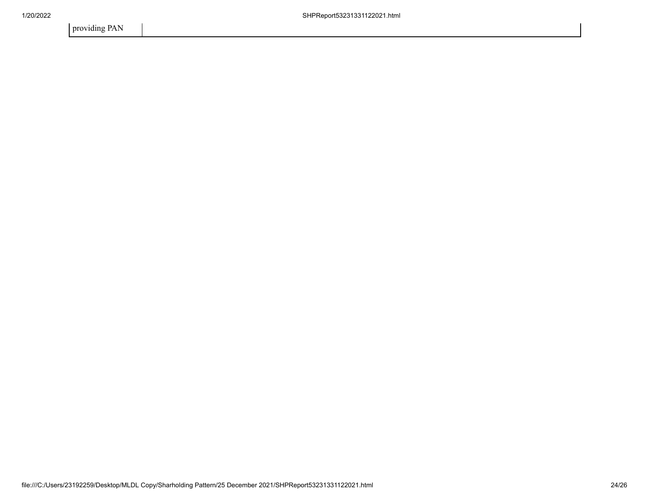providing PAN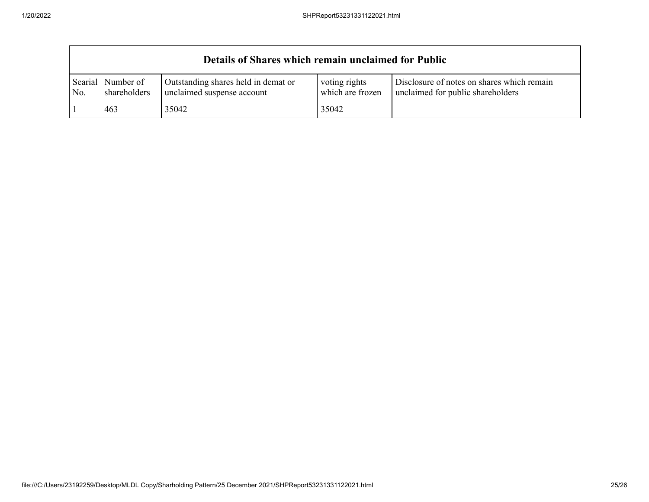|                | Details of Shares which remain unclaimed for Public |                                                                   |                                   |                                                                                 |  |  |
|----------------|-----------------------------------------------------|-------------------------------------------------------------------|-----------------------------------|---------------------------------------------------------------------------------|--|--|
| Searial<br>No. | Number of<br>shareholders                           | Outstanding shares held in demat or<br>unclaimed suspense account | voting rights<br>which are frozen | Disclosure of notes on shares which remain<br>unclaimed for public shareholders |  |  |
|                | 463                                                 | 35042                                                             | 35042                             |                                                                                 |  |  |